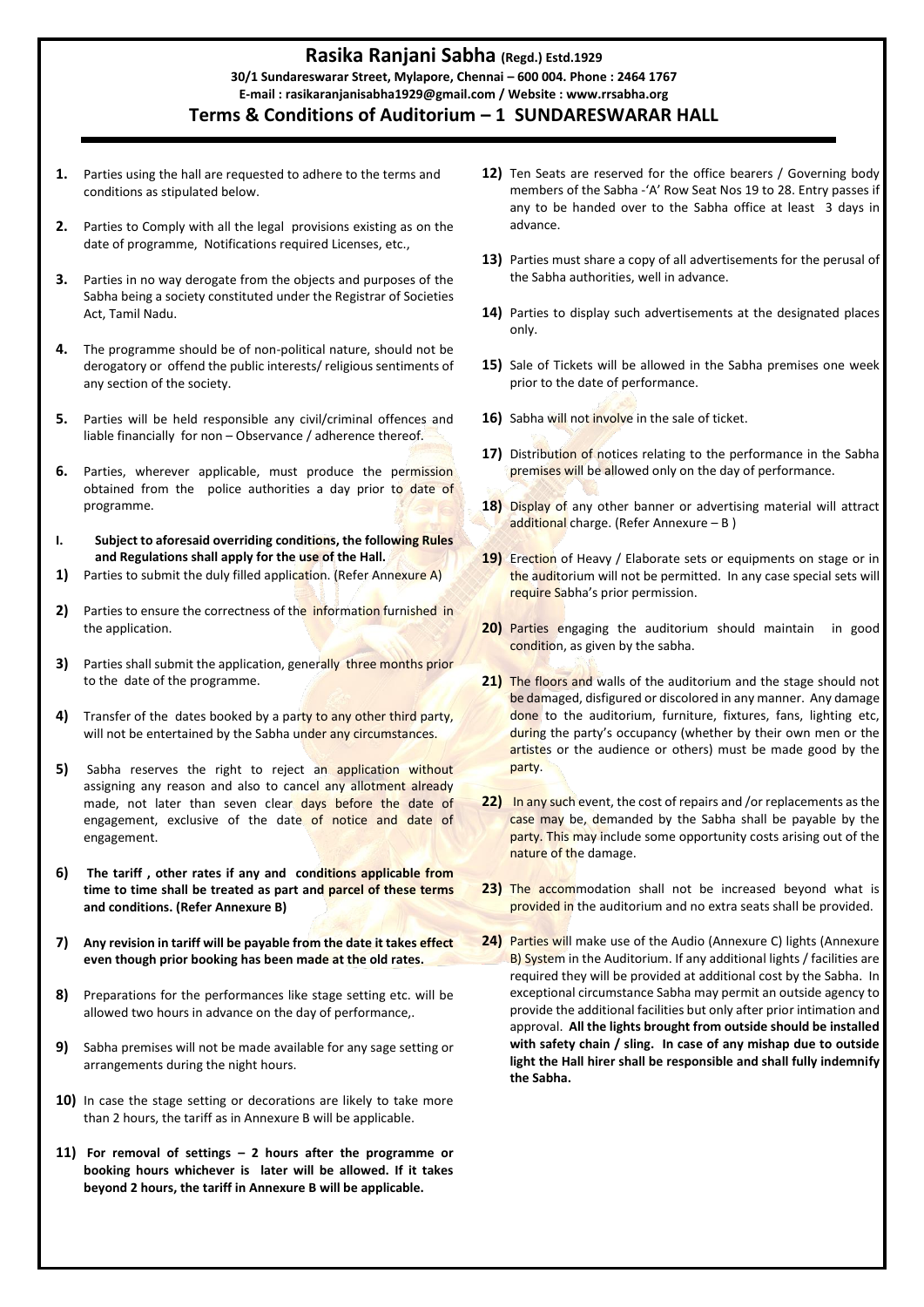## **Rasika Ranjani Sabha (Regd.) Estd.1929 30/1 Sundareswarar Street, Mylapore, Chennai – 600 004. Phone : 2464 1767 E-mail : rasikaranjanisabha1929@gmail.com / Website : www.rrsabha.org Terms & Conditions of Auditorium – 1 SUNDARESWARAR HALL**

- **1.** Parties using the hall are requested to adhere to the terms and conditions as stipulated below.
- **2.** Parties to Comply with all the legal provisions existing as on the date of programme, Notifications required Licenses, etc.,
- **3.** Parties in no way derogate from the objects and purposes of the Sabha being a society constituted under the Registrar of Societies Act, Tamil Nadu.
- **4.** The programme should be of non-political nature, should not be derogatory or offend the public interests/ religious sentiments of any section of the society.
- **5.** Parties will be held responsible any civil/criminal offences and liable financially for non – Observance / adherence thereof.
- **6.** Parties, wherever applicable, must produce the permission obtained from the police authorities a day prior to date of programme.
- **I. Subject to aforesaid overriding conditions, the following Rules and Regulations shall apply for the use of the Hall.**
- **1)** Parties to submit the duly filled application. (Refer Annexure A)
- **2)** Parties to ensure the correctness of the information furnished in the application.
- **3)** Parties shall submit the application, generally three months prior to the date of the programme.
- **4)** Transfer of the dates booked by a party to any other third party, will not be entertained by the Sabha under any circumstances.
- **5)** Sabha reserves the right to reject an application without assigning any reason and also to cancel any allotment already made, not later than seven clear days before the date of engagement, exclusive of the date of notice and date of engagement.
- **6) The tariff , other rates if any and conditions applicable from time to time shall be treated as part and parcel of these terms and conditions. (Refer Annexure B)**
- **7) Any revision in tariff will be payable from the date it takes effect even though prior booking has been made at the old rates.**
- **8)** Preparations for the performances like stage setting etc. will be allowed two hours in advance on the day of performance,.
- **9)** Sabha premises will not be made available for any sage setting or arrangements during the night hours.
- **10)** In case the stage setting or decorations are likely to take more than 2 hours, the tariff as in Annexure B will be applicable.
- **11) For removal of settings – 2 hours after the programme or booking hours whichever is later will be allowed. If it takes beyond 2 hours, the tariff in Annexure B will be applicable.**
- **12)** Ten Seats are reserved for the office bearers / Governing body members of the Sabha -'A' Row Seat Nos 19 to 28. Entry passes if any to be handed over to the Sabha office at least 3 days in advance.
- **13)** Parties must share a copy of all advertisements for the perusal of the Sabha authorities, well in advance.
- **14)** Parties to display such advertisements at the designated places only.
- 15) Sale of Tickets will be allowed in the Sabha premises one week prior to the date of performance.
- 16) Sabha will not involve in the sale of ticket.
- 17) Distribution of notices relating to the performance in the Sabha premises will be allowed only on the day of performance.
- **18)** Display of any other banner or advertising material will attract additional charge. (Refer Annexure – B )
- 19) Erection of Heavy / Elaborate sets or equipments on stage or in the auditorium will not be permitted. In any case special sets will require Sabha's prior permission.
- **20)** Parties engaging the auditorium should maintain in good condition, as given by the sabha.
- 21) The floors and walls of the auditorium and the stage should not be damaged, disfigured or discolored in any manner. Any damage done to the auditorium, furniture, fixtures, fans, lighting etc, during the party's occupancy (whether by their own men or the artistes or the audience or others) must be made good by the party.
- **22)** In any such event, the cost of repairs and /or replacements as the case may be, demanded by the Sabha shall be payable by the party. This may include some opportunity costs arising out of the nature of the damage.
- **23)** The accommodation shall not be increased beyond what is provided in the auditorium and no extra seats shall be provided.
- **24)** Parties will make use of the Audio (Annexure C) lights (Annexure B) System in the Auditorium. If any additional lights / facilities are required they will be provided at additional cost by the Sabha. In exceptional circumstance Sabha may permit an outside agency to provide the additional facilities but only after prior intimation and approval. **All the lights brought from outside should be installed with safety chain / sling. In case of any mishap due to outside light the Hall hirer shall be responsible and shall fully indemnify the Sabha.**